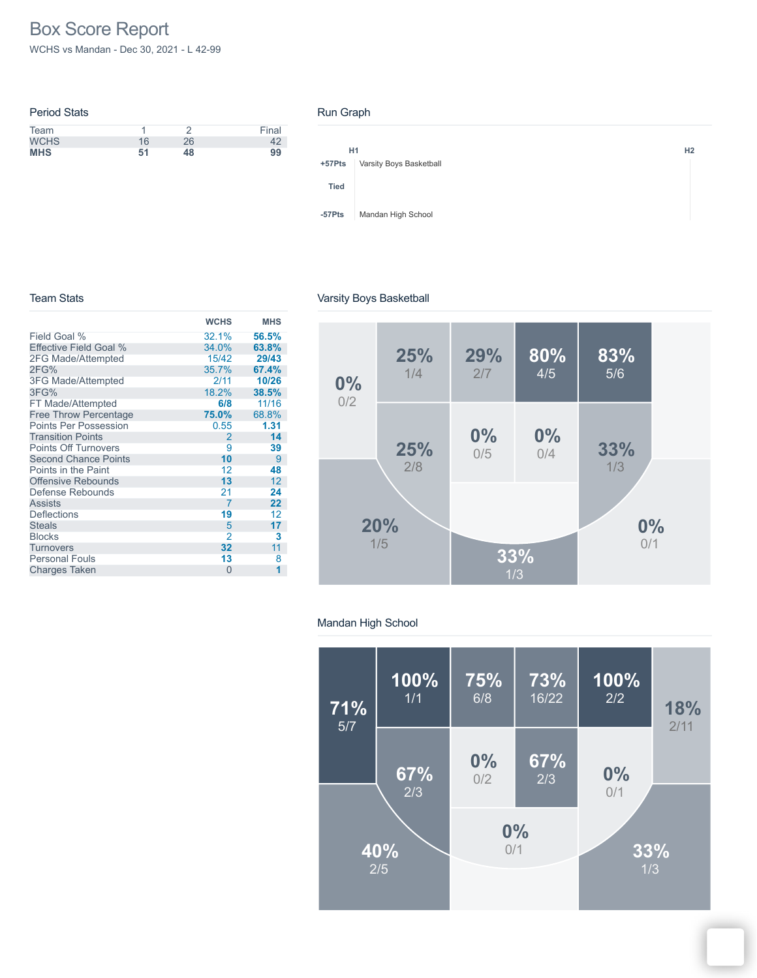# Box Score Report

WCHS vs Mandan - Dec 30, 2021 - L 42-99

| <b>Period Stats</b> |    |    |       |
|---------------------|----|----|-------|
| Team                |    |    | Final |
| <b>WCHS</b>         | 16 | 26 |       |
| <b>MHS</b>          | 51 | 48 | 99    |

### Run Graph



### Team Stats

|  | Varsity Boys Basketball |
|--|-------------------------|
|--|-------------------------|

|                              | <b>WCHS</b>    | <b>MHS</b> |
|------------------------------|----------------|------------|
| Field Goal %                 | 32.1%          | 56.5%      |
| Effective Field Goal %       | 34.0%          | 63.8%      |
| 2FG Made/Attempted           | 15/42          | 29/43      |
| 2FG%                         | 35.7%          | 67.4%      |
| 3FG Made/Attempted           | 2/11           | 10/26      |
| 3FG%                         | 18.2%          | 38.5%      |
| FT Made/Attempted            | 6/8            | 11/16      |
| <b>Free Throw Percentage</b> | 75.0%          | 68.8%      |
| <b>Points Per Possession</b> | 0.55           | 1.31       |
| <b>Transition Points</b>     | 2              | 14         |
| <b>Points Off Turnovers</b>  | 9              | 39         |
| <b>Second Chance Points</b>  | 10             | 9          |
| Points in the Paint          | 12             | 48         |
| <b>Offensive Rebounds</b>    | 13             | 12         |
| Defense Rebounds             | 21             | 24         |
| <b>Assists</b>               | 7              | 22         |
| <b>Deflections</b>           | 19             | 12         |
| <b>Steals</b>                | 5              | 17         |
| <b>Blocks</b>                | $\overline{2}$ | 3          |
| <b>Turnovers</b>             | 32             | 11         |
| <b>Personal Fouls</b>        | 13             | 8          |
| <b>Charges Taken</b>         | $\Omega$       | 1          |
|                              |                |            |



## Mandan High School